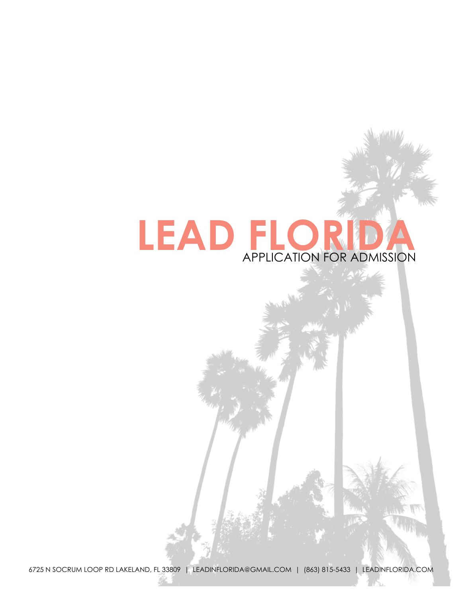# **LEAD FLORIDA**  APPLICATION FOR ADMISSION

6725 N SOCRUM LOOP RD LAKELAND, FL 33809 | [LEADINFLORIDA@GMAIL.COM](mailto:LEADINFLORIDA@GMAIL.COM) | (863) 815-5433 | LEADINFLORIDA.COM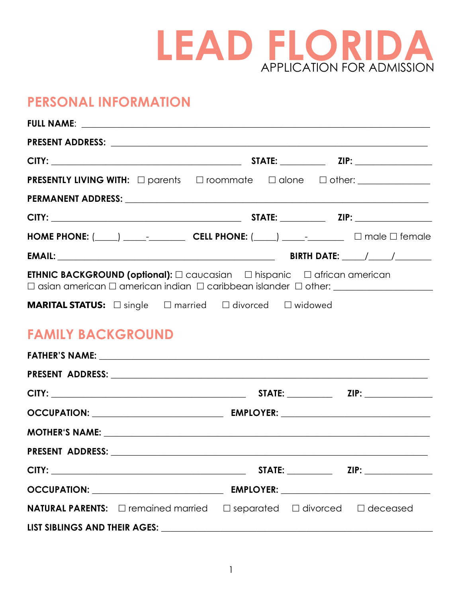

## **PERSONAL INFORMATION**

|                                                                                               |  | HOME PHONE: $(\_\_\_\_\_\_\_\_$ CELL PHONE: $(\_\_\_\_\_\_\_\_$ $\_\_\_\_\_$ $\_\_\_\_$ male $\Box$ female |
|-----------------------------------------------------------------------------------------------|--|------------------------------------------------------------------------------------------------------------|
|                                                                                               |  |                                                                                                            |
| <b>ETHNIC BACKGROUND (optional):</b> $\Box$ caucasian $\Box$ hispanic $\Box$ african american |  |                                                                                                            |
| <b>MARITAL STATUS:</b> □ single □ married □ divorced □ widowed                                |  |                                                                                                            |
| <b>FAMILY BACKGROUND</b>                                                                      |  |                                                                                                            |
|                                                                                               |  |                                                                                                            |
|                                                                                               |  |                                                                                                            |
|                                                                                               |  |                                                                                                            |
|                                                                                               |  |                                                                                                            |
|                                                                                               |  |                                                                                                            |
| PRESENT ADDRESS:                                                                              |  |                                                                                                            |
|                                                                                               |  |                                                                                                            |
|                                                                                               |  |                                                                                                            |
|                                                                                               |  | <b>NATURAL PARENTS:</b> □ remained married □ separated □ divorced □ deceased                               |
|                                                                                               |  |                                                                                                            |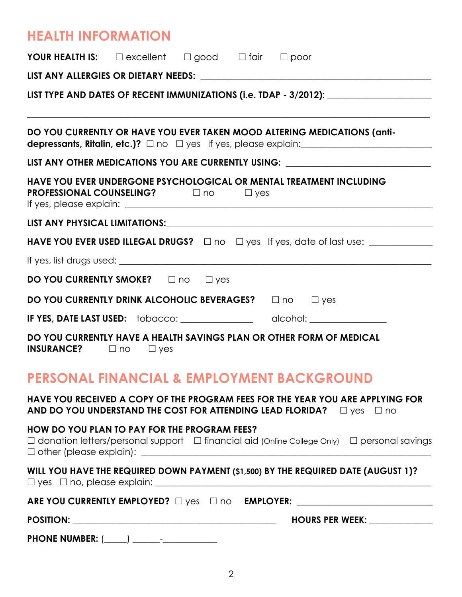# **HEALTH INFORMATION**

|                                        | <b>YOUR HEALTH IS:</b> $\square$ excellent $\square$ good $\square$ fair $\square$ poor                                                                                                                                                                                              |
|----------------------------------------|--------------------------------------------------------------------------------------------------------------------------------------------------------------------------------------------------------------------------------------------------------------------------------------|
|                                        |                                                                                                                                                                                                                                                                                      |
|                                        | LIST TYPE AND DATES OF RECENT IMMUNIZATIONS (i.e. TDAP - 3/2012): _______________                                                                                                                                                                                                    |
|                                        | <u> 1989 - Johann Stoff, deutscher Stoff, der Stoff, der Stoff, der Stoff, der Stoff, der Stoff, der Stoff, der S</u><br>DO YOU CURRENTLY OR HAVE YOU EVER TAKEN MOOD ALTERING MEDICATIONS (anti-<br>depressants, Ritalin, etc.)? $\square$ no $\square$ yes If yes, please explain: |
|                                        | LIST ANY OTHER MEDICATIONS YOU ARE CURRENTLY USING: ____________________________                                                                                                                                                                                                     |
|                                        | HAVE YOU EVER UNDERGONE PSYCHOLOGICAL OR MENTAL TREATMENT INCLUDING<br><b>PROFESSIONAL COUNSELING?</b> $\Box$ no $\Box$ yes                                                                                                                                                          |
|                                        |                                                                                                                                                                                                                                                                                      |
|                                        |                                                                                                                                                                                                                                                                                      |
|                                        |                                                                                                                                                                                                                                                                                      |
|                                        | DO YOU CURRENTLY SMOKE?  One Uyes                                                                                                                                                                                                                                                    |
|                                        | DO YOU CURRENTLY DRINK ALCOHOLIC BEVERAGES?<br>$\Box$ no $\Box$ yes                                                                                                                                                                                                                  |
|                                        |                                                                                                                                                                                                                                                                                      |
| <b>INSURANCE?</b> $\Box$ no $\Box$ yes | DO YOU CURRENTLY HAVE A HEALTH SAVINGS PLAN OR OTHER FORM OF MEDICAL                                                                                                                                                                                                                 |
|                                        | <b>PERSONAL FINANCIAL &amp; EMPLOYMENT BACKGROUND</b>                                                                                                                                                                                                                                |
|                                        | HAVE YOU RECEIVED A COPY OF THE PROGRAM FEES FOR THE YEAR YOU ARE APPLYING FOR<br>AND DO YOU UNDERSTAND THE COST FOR ATTENDING LEAD FLORIDA? $\Box$ yes $\Box$ no                                                                                                                    |
|                                        | HOW DO YOU PLAN TO PAY FOR THE PROGRAM FEES?<br>$\Box$ donation letters/personal support $\Box$ financial aid (Online College Only) $\Box$ personal savings                                                                                                                          |
|                                        | WILL YOU HAVE THE REQUIRED DOWN PAYMENT (\$1,500) BY THE REQUIRED DATE (AUGUST 1)?                                                                                                                                                                                                   |
|                                        | ARE YOU CURRENTLY EMPLOYED? $\Box$ yes $\Box$ no EMPLOYER: _________________________                                                                                                                                                                                                 |
|                                        | HOURS PER WEEK: _____________                                                                                                                                                                                                                                                        |
|                                        |                                                                                                                                                                                                                                                                                      |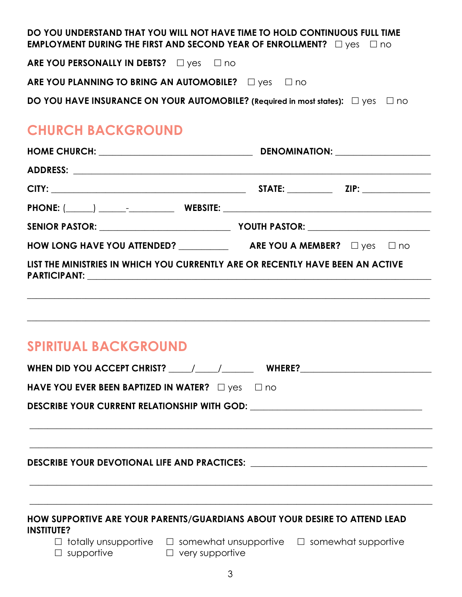| DO YOU UNDERSTAND THAT YOU WILL NOT HAVE TIME TO HOLD CONTINUOUS FULL TIME<br><b>EMPLOYMENT DURING THE FIRST AND SECOND YEAR OF ENROLLMENT?</b> $\Box$ yes $\Box$ no                                                                  |  |  |  |  |
|---------------------------------------------------------------------------------------------------------------------------------------------------------------------------------------------------------------------------------------|--|--|--|--|
| ARE YOU PERSONALLY IN DEBTS? Dyes D no                                                                                                                                                                                                |  |  |  |  |
| ARE YOU PLANNING TO BRING AN AUTOMOBILE? $\Box$ yes $\Box$ no                                                                                                                                                                         |  |  |  |  |
| <b>DO YOU HAVE INSURANCE ON YOUR AUTOMOBILE?</b> (Required in most states): □ yes □ no                                                                                                                                                |  |  |  |  |
| <b>CHURCH BACKGROUND</b>                                                                                                                                                                                                              |  |  |  |  |
|                                                                                                                                                                                                                                       |  |  |  |  |
|                                                                                                                                                                                                                                       |  |  |  |  |
|                                                                                                                                                                                                                                       |  |  |  |  |
|                                                                                                                                                                                                                                       |  |  |  |  |
|                                                                                                                                                                                                                                       |  |  |  |  |
|                                                                                                                                                                                                                                       |  |  |  |  |
| LIST THE MINISTRIES IN WHICH YOU CURRENTLY ARE OR RECENTLY HAVE BEEN AN ACTIVE                                                                                                                                                        |  |  |  |  |
| <u> 1989 - Johann Stoff, amerikansk politiker (d. 1989)</u><br><b>SPIRITUAL BACKGROUND</b>                                                                                                                                            |  |  |  |  |
| WHEN DID YOU ACCEPT CHRIST? $\_\_\_\_\_\_\_\_\_\_\_\$ WHERE?                                                                                                                                                                          |  |  |  |  |
| HAVE YOU EVER BEEN BAPTIZED IN WATER? $\Box$ yes $\Box$ no                                                                                                                                                                            |  |  |  |  |
| DESCRIBE YOUR CURRENT RELATIONSHIP WITH GOD: ___________________________________<br><u> 1989 - Jan James James James James James James James James James James James James James James James James J</u>                              |  |  |  |  |
| DESCRIBE YOUR DEVOTIONAL LIFE AND PRACTICES: ___________________________________                                                                                                                                                      |  |  |  |  |
| HOW SUPPORTIVE ARE YOUR PARENTS/GUARDIANS ABOUT YOUR DESIRE TO ATTEND LEAD<br><b>INSTITUTE?</b><br>$\Box$ totally unsupportive $\Box$ somewhat unsupportive $\Box$ somewhat supportive<br>$\Box$ supportive<br>$\Box$ very supportive |  |  |  |  |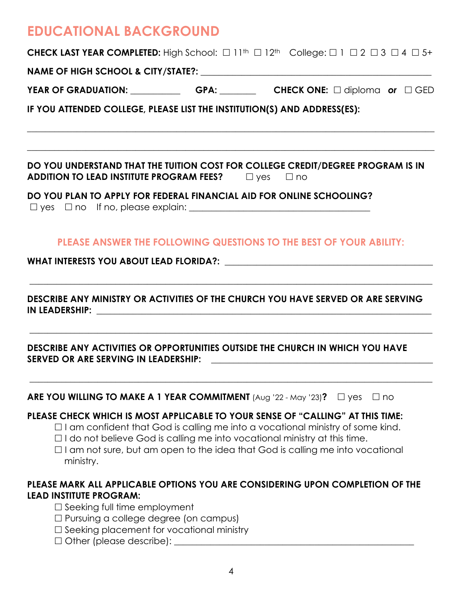# **EDUCATIONAL BACKGROUND**

**CHECK LAST YEAR COMPLETED:** High School:  $\Box$  11<sup>th</sup>  $\Box$  12<sup>th</sup> College:  $\Box$  1  $\Box$  2  $\Box$  3  $\Box$  4  $\Box$  5+

**NAME OF HIGH SCHOOL & CITY/STATE?:** \_\_\_\_\_\_\_\_\_\_\_\_\_\_\_\_\_\_\_\_\_\_\_\_\_\_\_\_\_\_\_\_\_\_\_\_\_\_\_\_\_\_\_\_\_\_\_\_\_\_\_

**YEAR OF GRADUATION:** \_\_\_\_\_\_\_\_\_\_\_ **GPA:** \_\_\_\_\_\_\_\_ **CHECK ONE:** ! diploma *or*! GED

 $\_$  , and the set of the set of the set of the set of the set of the set of the set of the set of the set of the set of the set of the set of the set of the set of the set of the set of the set of the set of the set of th

 $\_$  , and the set of the set of the set of the set of the set of the set of the set of the set of the set of the set of the set of the set of the set of the set of the set of the set of the set of the set of the set of th

**IF YOU ATTENDED COLLEGE, PLEASE LIST THE INSTITUTION(S) AND ADDRESS(ES):** 

**DO YOU UNDERSTAND THAT THE TUITION COST FOR COLLEGE CREDIT/DEGREE PROGRAM IS IN ADDITION TO LEAD INSTITUTE PROGRAM FEES?**  $\Box$  yes  $\Box$  no

**DO YOU PLAN TO APPLY FOR FEDERAL FINANCIAL AID FOR ONLINE SCHOOLING?** 

 $\Box$  yes  $\Box$  no  $\Box$  fi no, please explain:  $\Box$ 

## **PLEASE ANSWER THE FOLLOWING QUESTIONS TO THE BEST OF YOUR ABILITY:**

\_\_\_\_\_\_\_\_\_\_\_\_\_\_\_\_\_\_\_\_\_\_\_\_\_\_\_\_\_\_\_\_\_\_\_\_\_\_\_\_\_\_\_\_\_\_\_\_\_\_\_\_\_\_\_\_\_\_\_\_\_\_\_\_\_\_\_\_\_\_\_\_\_\_\_\_\_\_\_\_\_\_\_\_\_\_\_\_\_

\_\_\_\_\_\_\_\_\_\_\_\_\_\_\_\_\_\_\_\_\_\_\_\_\_\_\_\_\_\_\_\_\_\_\_\_\_\_\_\_\_\_\_\_\_\_\_\_\_\_\_\_\_\_\_\_\_\_\_\_\_\_\_\_\_\_\_\_\_\_\_\_\_\_\_\_\_\_\_\_\_\_\_\_\_\_\_\_\_

\_\_\_\_\_\_\_\_\_\_\_\_\_\_\_\_\_\_\_\_\_\_\_\_\_\_\_\_\_\_\_\_\_\_\_\_\_\_\_\_\_\_\_\_\_\_\_\_\_\_\_\_\_\_\_\_\_\_\_\_\_\_\_\_\_\_\_\_\_\_\_\_\_\_\_\_\_\_\_\_\_\_\_\_\_\_\_\_\_

### WHAT INTERESTS YOU ABOUT LEAD FLORIDA?: **what interfaces**

**DESCRIBE ANY MINISTRY OR ACTIVITIES OF THE CHURCH YOU HAVE SERVED OR ARE SERVING IN LEADERSHIP:** 

**DESCRIBE ANY ACTIVITIES OR OPPORTUNITIES OUTSIDE THE CHURCH IN WHICH YOU HAVE**  SERVED OR ARE SERVING IN LEADERSHIP:

**ARE YOU WILLING TO MAKE A 1 YEAR COMMITMENT**  $(A \cup g' 22 - Mag' 23)$ ?  $\Box$  yes  $\Box$  no

## **PLEASE CHECK WHICH IS MOST APPLICABLE TO YOUR SENSE OF "CALLING" AT THIS TIME:**

- $\Box$  I am confident that God is calling me into a vocational ministry of some kind.
- $\Box$  I do not believe God is calling me into vocational ministry at this time.
- $\Box$  I am not sure, but am open to the idea that God is calling me into vocational ministry.

## **PLEASE MARK ALL APPLICABLE OPTIONS YOU ARE CONSIDERING UPON COMPLETION OF THE LEAD INSTITUTE PROGRAM:**

- $\Box$  Seeking full time employment
- $\Box$  Pursuing a college degree (on campus)
- $\Box$  Seeking placement for vocational ministry
- $\Box$  Other (please describe):  $\Box$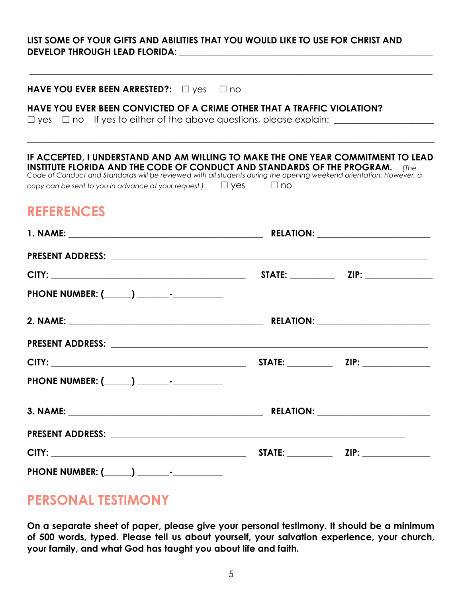### **LIST SOME OF YOUR GIFTS AND ABILITIES THAT YOU WOULD LIKE TO USE FOR CHRIST AND DEVELOP THROUGH LEAD FLORIDA: \_\_\_\_\_\_\_\_\_\_\_\_\_\_\_\_\_\_\_\_\_\_\_\_\_\_\_\_\_\_\_\_\_\_\_\_\_\_\_\_\_\_\_\_\_\_\_\_\_\_\_\_\_\_\_\_**

\_\_\_\_\_\_\_\_\_\_\_\_\_\_\_\_\_\_\_\_\_\_\_\_\_\_\_\_\_\_\_\_\_\_\_\_\_\_\_\_\_\_\_\_\_\_\_\_\_\_\_\_\_\_\_\_\_\_\_\_\_\_\_\_\_\_\_\_\_\_\_\_\_\_\_\_\_\_\_\_\_\_\_\_\_\_\_\_\_

| HAVE YOU EVER BEEN ARRESTED?: Dyes Dno                                                                                                                                                                                                                                                                                                                          |                  |  |
|-----------------------------------------------------------------------------------------------------------------------------------------------------------------------------------------------------------------------------------------------------------------------------------------------------------------------------------------------------------------|------------------|--|
| HAVE YOU EVER BEEN CONVICTED OF A CRIME OTHER THAT A TRAFFIC VIOLATION?<br>$\Box$ yes $\Box$ no If yes to either of the above questions, please explain: $\Box$                                                                                                                                                                                                 |                  |  |
| IF ACCEPTED, I UNDERSTAND AND AM WILLING TO MAKE THE ONE YEAR COMMITMENT TO LEAD<br>INSTITUTE FLORIDA AND THE CODE OF CONDUCT AND STANDARDS OF THE PROGRAM.<br>Code of Conduct and Standards will be reviewed with all students during the opening weekend orientation. However, a<br>copy can be sent to you in advance at your request.) $\Box$ Yes $\Box$ no |                  |  |
| <b>REFERENCES</b>                                                                                                                                                                                                                                                                                                                                               |                  |  |
|                                                                                                                                                                                                                                                                                                                                                                 |                  |  |
|                                                                                                                                                                                                                                                                                                                                                                 |                  |  |
|                                                                                                                                                                                                                                                                                                                                                                 |                  |  |
|                                                                                                                                                                                                                                                                                                                                                                 |                  |  |
|                                                                                                                                                                                                                                                                                                                                                                 |                  |  |
|                                                                                                                                                                                                                                                                                                                                                                 |                  |  |
|                                                                                                                                                                                                                                                                                                                                                                 |                  |  |
|                                                                                                                                                                                                                                                                                                                                                                 |                  |  |
| <b>3. NAME:</b>                                                                                                                                                                                                                                                                                                                                                 | <b>RELATION:</b> |  |
|                                                                                                                                                                                                                                                                                                                                                                 |                  |  |
|                                                                                                                                                                                                                                                                                                                                                                 |                  |  |
|                                                                                                                                                                                                                                                                                                                                                                 |                  |  |

## **PERSONAL TESTIMONY**

**On a separate sheet of paper, please give your personal testimony. It should be a minimum of 500 words, typed. Please tell us about yourself, your salvation experience, your church, your family, and what God has taught you about life and faith.**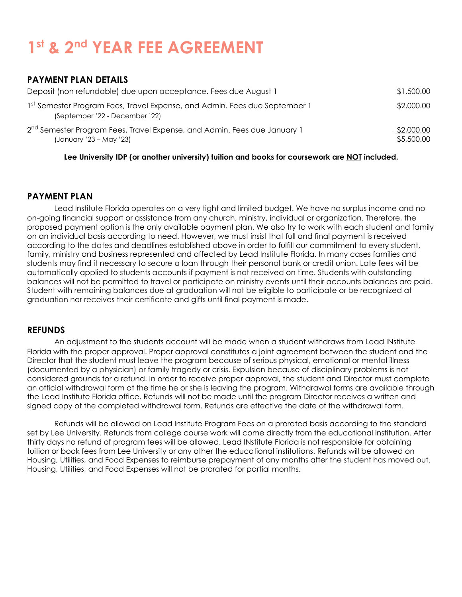# **1st & 2nd YEAR FEE AGREEMENT**

### **PAYMENT PLAN DETAILS**

| Deposit (non refundable) due upon acceptance. Fees due August 1                                                 | \$1,500.00               |
|-----------------------------------------------------------------------------------------------------------------|--------------------------|
| 1st Semester Program Fees, Travel Expense, and Admin. Fees due September 1<br>(September '22 - December '22)    | \$2,000.00               |
| 2 <sup>nd</sup> Semester Program Fees, Travel Expense, and Admin. Fees due January 1<br>(January '23 – May '23) | \$2,000.00<br>\$5,500.00 |

**Lee University IDP (or another university) tuition and books for coursework are NOT included.**

#### **PAYMENT PLAN**

Lead Institute Florida operates on a very tight and limited budget. We have no surplus income and no on-going financial support or assistance from any church, ministry, individual or organization. Therefore, the proposed payment option is the only available payment plan. We also try to work with each student and family on an individual basis according to need. However, we must insist that full and final payment is received according to the dates and deadlines established above in order to fulfill our commitment to every student, family, ministry and business represented and affected by Lead Institute Florida. In many cases families and students may find it necessary to secure a loan through their personal bank or credit union. Late fees will be automatically applied to students accounts if payment is not received on time. Students with outstanding balances will not be permitted to travel or participate on ministry events until their accounts balances are paid. Student with remaining balances due at graduation will not be eligible to participate or be recognized at graduation nor receives their certificate and gifts until final payment is made.

#### **REFUNDS**

An adjustment to the students account will be made when a student withdraws from Lead INstitute Florida with the proper approval. Proper approval constitutes a joint agreement between the student and the Director that the student must leave the program because of serious physical, emotional or mental illness (documented by a physician) or family tragedy or crisis. Expulsion because of disciplinary problems is not considered grounds for a refund. In order to receive proper approval, the student and Director must complete an official withdrawal form at the time he or she is leaving the program. Withdrawal forms are available through the Lead Institute Florida office. Refunds will not be made until the program Director receives a written and signed copy of the completed withdrawal form. Refunds are effective the date of the withdrawal form.

 Refunds will be allowed on Lead Institute Program Fees on a prorated basis according to the standard set by Lee University. Refunds from college course work will come directly from the educational institution. After thirty days no refund of program fees will be allowed. Lead INstitute Florida is not responsible for obtaining tuition or book fees from Lee University or any other the educational institutions. Refunds will be allowed on Housing, Utilities, and Food Expenses to reimburse prepayment of any months after the student has moved out. Housing, Utilities, and Food Expenses will not be prorated for partial months.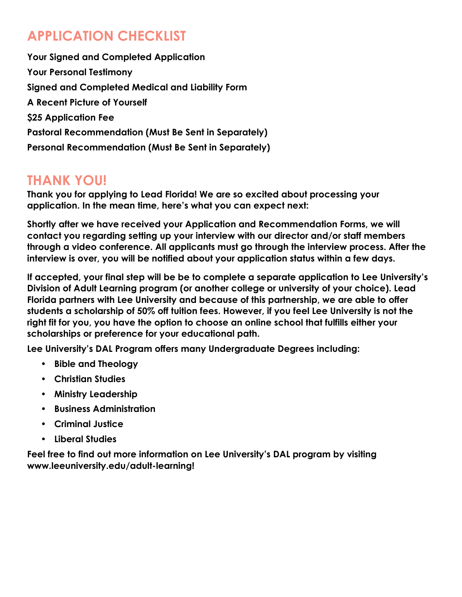# **APPLICATION CHECKLIST**

**Your Signed and Completed Application Your Personal Testimony Signed and Completed Medical and Liability Form A Recent Picture of Yourself \$25 Application Fee Pastoral Recommendation (Must Be Sent in Separately) Personal Recommendation (Must Be Sent in Separately)** 

## **THANK YOU!**

**Thank you for applying to Lead Florida! We are so excited about processing your application. In the mean time, here's what you can expect next:** 

**Shortly after we have received your Application and Recommendation Forms, we will contact you regarding setting up your interview with our director and/or staff members through a video conference. All applicants must go through the interview process. After the interview is over, you will be notified about your application status within a few days.** 

**If accepted, your final step will be be to complete a separate application to Lee University's Division of Adult Learning program (or another college or university of your choice). Lead Florida partners with Lee University and because of this partnership, we are able to offer students a scholarship of 50% off tuition fees. However, if you feel Lee University is not the right fit for you, you have the option to choose an online school that fulfills either your scholarships or preference for your educational path.** 

**Lee University's DAL Program offers many Undergraduate Degrees including:** 

- **• Bible and Theology**
- **• Christian Studies**
- **• Ministry Leadership**
- **• Business Administration**
- **• Criminal Justice**
- **• Liberal Studies**

**Feel free to find out more information on Lee University's DAL program by visiting [www.leeuniversity.edu/adult-learning](http://www.leeuniversity.edu/adult-learning)!**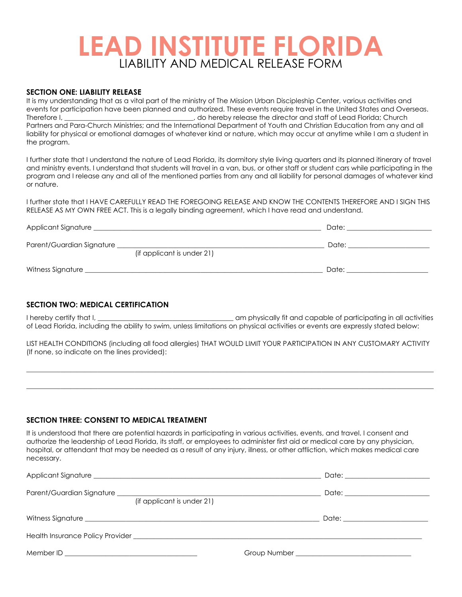# **LEAD INSTITUTE FLORIDA**  LIABILITY AND MEDICAL RELEASE FORM

#### **SECTION ONE: LIABILITY RELEASE**

It is my understanding that as a vital part of the ministry of The Mission Urban Discipleship Center, various activities and events for participation have been planned and authorized. These events require travel in the United States and Overseas. Therefore I, **Exercise 2008** Therefore I,  $\alpha$  do hereby release the director and staff of Lead Florida; Church Partners and Para-Church Ministries; and the International Department of Youth and Christian Education from any and all liability for physical or emotional damages of whatever kind or nature, which may occur at anytime while I am a student in the program.

I further state that I understand the nature of Lead Florida, its dormitory style living quarters and its planned itinerary of travel and ministry events. I understand that students will travel in a van, bus, or other staff or student cars while participating in the program and I release any and all of the mentioned parties from any and all liability for personal damages of whatever kind or nature.

I further state that I HAVE CAREFULLY READ THE FOREGOING RELEASE AND KNOW THE CONTENTS THEREFORE AND I SIGN THIS RELEASE AS MY OWN FREE ACT. This is a legally binding agreement, which I have read and understand.

| Applicant Signature       |                            | Date: |  |
|---------------------------|----------------------------|-------|--|
| Parent/Guardian Signature | (if applicant is under 21) | Date: |  |
| Witness Signature         |                            | Date: |  |

#### **SECTION TWO: MEDICAL CERTIFICATION**

I hereby certify that I, \_\_\_\_\_\_\_\_\_\_\_\_\_\_\_\_\_\_\_\_\_\_\_\_\_\_\_\_\_\_\_\_\_\_\_\_\_\_\_\_ am physically fit and capable of participating in all activities of Lead Florida, including the ability to swim, unless limitations on physical activities or events are expressly stated below:

LIST HEALTH CONDITIONS (including all food allergies) THAT WOULD LIMIT YOUR PARTICIPATION IN ANY CUSTOMARY ACTIVITY (If none, so indicate on the lines provided):

 $\_$  , and the state of the state of the state of the state of the state of the state of the state of the state of the state of the state of the state of the state of the state of the state of the state of the state of the

 $\_$  , and the set of the set of the set of the set of the set of the set of the set of the set of the set of the set of the set of the set of the set of the set of the set of the set of the set of the set of the set of th

#### **SECTION THREE: CONSENT TO MEDICAL TREATMENT**

It is understood that there are potential hazards in participating in various activities, events, and travel. I consent and authorize the leadership of Lead Florida, its staff, or employees to administer first aid or medical care by any physician, hospital, or attendant that may be needed as a result of any injury, illness, or other affliction, which makes medical care necessary.

| Parent/Guardian Signature <u>and the contract of the contract of the contract of the contract of the contract of the contract of the contract of the contract of the contract of the contract of the contract of the contract of</u><br>(if applicant is under 21) | Date: _______________________ |
|--------------------------------------------------------------------------------------------------------------------------------------------------------------------------------------------------------------------------------------------------------------------|-------------------------------|
|                                                                                                                                                                                                                                                                    |                               |
|                                                                                                                                                                                                                                                                    |                               |
|                                                                                                                                                                                                                                                                    |                               |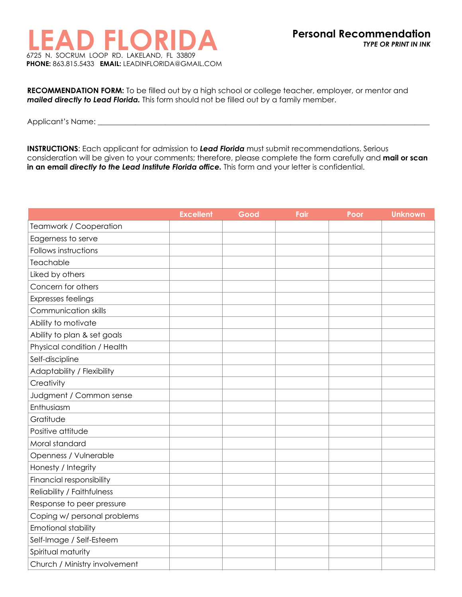

**RECOMMENDATION FORM:** To be filled out by a high school or college teacher, employer, or mentor and *mailed directly to Lead Florida.* This form should not be filled out by a family member.

Applicant's Name: \_\_\_\_\_\_\_\_\_\_\_\_\_\_\_\_\_\_\_\_\_\_\_\_\_\_\_\_\_\_\_\_\_\_\_\_\_\_\_\_\_\_\_\_\_\_\_\_\_\_\_\_\_\_\_\_\_\_\_\_\_\_\_\_\_\_\_\_\_\_\_\_\_\_\_\_\_\_\_\_\_\_\_\_\_\_\_\_

**INSTRUCTIONS**: Each applicant for admission to *Lead Florida* must submit recommendations. Serious consideration will be given to your comments; therefore, please complete the form carefully and **mail or scan in an email** *directly to the Lead Institute Florida office.* This form and your letter is confidential.

|                               | <b>Excellent</b> | Good | Fair | Poor | <b>Unknown</b> |
|-------------------------------|------------------|------|------|------|----------------|
| Teamwork / Cooperation        |                  |      |      |      |                |
| Eagerness to serve            |                  |      |      |      |                |
| Follows instructions          |                  |      |      |      |                |
| Teachable                     |                  |      |      |      |                |
| Liked by others               |                  |      |      |      |                |
| Concern for others            |                  |      |      |      |                |
| <b>Expresses feelings</b>     |                  |      |      |      |                |
| Communication skills          |                  |      |      |      |                |
| Ability to motivate           |                  |      |      |      |                |
| Ability to plan & set goals   |                  |      |      |      |                |
| Physical condition / Health   |                  |      |      |      |                |
| Self-discipline               |                  |      |      |      |                |
| Adaptability / Flexibility    |                  |      |      |      |                |
| Creativity                    |                  |      |      |      |                |
| Judgment / Common sense       |                  |      |      |      |                |
| Enthusiasm                    |                  |      |      |      |                |
| Gratitude                     |                  |      |      |      |                |
| Positive attitude             |                  |      |      |      |                |
| Moral standard                |                  |      |      |      |                |
| Openness / Vulnerable         |                  |      |      |      |                |
| Honesty / Integrity           |                  |      |      |      |                |
| Financial responsibility      |                  |      |      |      |                |
| Reliability / Faithfulness    |                  |      |      |      |                |
| Response to peer pressure     |                  |      |      |      |                |
| Coping w/ personal problems   |                  |      |      |      |                |
| Emotional stability           |                  |      |      |      |                |
| Self-Image / Self-Esteem      |                  |      |      |      |                |
| Spiritual maturity            |                  |      |      |      |                |
| Church / Ministry involvement |                  |      |      |      |                |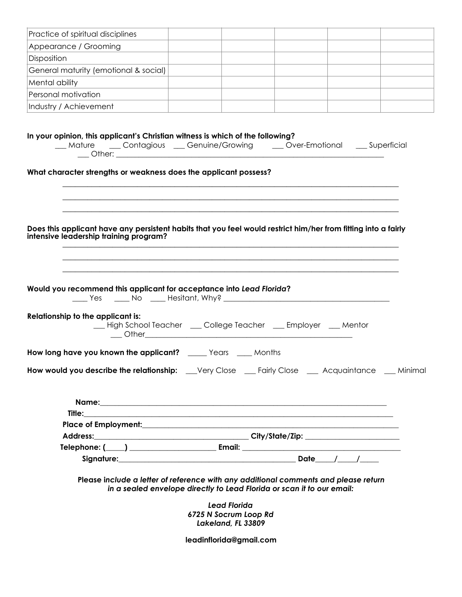| Practice of spiritual disciplines                                                                                                                                                                                                   |                                                                                                                                              |  |  |
|-------------------------------------------------------------------------------------------------------------------------------------------------------------------------------------------------------------------------------------|----------------------------------------------------------------------------------------------------------------------------------------------|--|--|
| Appearance / Grooming                                                                                                                                                                                                               |                                                                                                                                              |  |  |
| Disposition                                                                                                                                                                                                                         |                                                                                                                                              |  |  |
| General maturity (emotional & social)                                                                                                                                                                                               |                                                                                                                                              |  |  |
| Mental ability                                                                                                                                                                                                                      |                                                                                                                                              |  |  |
| Personal motivation                                                                                                                                                                                                                 |                                                                                                                                              |  |  |
| Industry / Achievement                                                                                                                                                                                                              |                                                                                                                                              |  |  |
| In your opinion, this applicant's Christian witness is which of the following?<br>__ Mature ___ Contagious __ Genuine/Growing ___ Over-Emotional __ Superficial<br>What character strengths or weakness does the applicant possess? |                                                                                                                                              |  |  |
| Does this applicant have any persistent habits that you feel would restrict him/her from fitting into a fairly<br>intensive leadership training program?                                                                            |                                                                                                                                              |  |  |
| Would you recommend this applicant for acceptance into Lead Florida?<br>Relationship to the applicant is:<br>__ High School Teacher ___ College Teacher ___ Employer __ Mentor                                                      |                                                                                                                                              |  |  |
| How long have you known the applicant? ______ Years _____ Months                                                                                                                                                                    |                                                                                                                                              |  |  |
| How would you describe the relationship: __Very Close __Fairly Close __ Acquaintance __ Minimal                                                                                                                                     |                                                                                                                                              |  |  |
|                                                                                                                                                                                                                                     |                                                                                                                                              |  |  |
|                                                                                                                                                                                                                                     |                                                                                                                                              |  |  |
|                                                                                                                                                                                                                                     |                                                                                                                                              |  |  |
|                                                                                                                                                                                                                                     |                                                                                                                                              |  |  |
| Signature: Date 1 Date 1 200                                                                                                                                                                                                        |                                                                                                                                              |  |  |
| Please include a letter of reference with any additional comments and please return                                                                                                                                                 | in a sealed envelope directly to Lead Florida or scan it to our email:<br><b>Lead Florida</b><br>6725 N Socrum Loop Rd<br>Lakeland, FL 33809 |  |  |
|                                                                                                                                                                                                                                     | leadinflorida@gmail.com                                                                                                                      |  |  |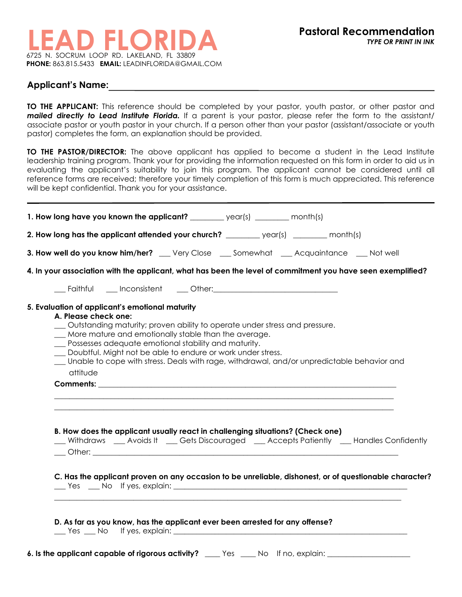#### **Applicant's Name:**

**TO THE APPLICANT:** This reference should be completed by your pastor, youth pastor, or other pastor and *mailed directly to Lead Institute Florida.* If a parent is your pastor, please refer the form to the assistant/ associate pastor or youth pastor in your church. If a person other than your pastor (assistant/associate or youth pastor) completes the form, an explanation should be provided.

**TO THE PASTOR/DIRECTOR:** The above applicant has applied to become a student in the Lead Institute leadership training program. Thank your for providing the information requested on this form in order to aid us in evaluating the applicant's suitability to join this program. The applicant cannot be considered until all reference forms are received; therefore your timely completion of this form is much appreciated. This reference will be kept confidential. Thank you for your assistance.

| 2. How long has the applicant attended your church? _________ year(s) _______ month(s)                                                                                                                                                                                                                                                                                                                                                                |  |  |
|-------------------------------------------------------------------------------------------------------------------------------------------------------------------------------------------------------------------------------------------------------------------------------------------------------------------------------------------------------------------------------------------------------------------------------------------------------|--|--|
|                                                                                                                                                                                                                                                                                                                                                                                                                                                       |  |  |
| 3. How well do you know him/her? __ Very Close __ Somewhat __ Acquaintance __ Not well                                                                                                                                                                                                                                                                                                                                                                |  |  |
| 4. In your association with the applicant, what has been the level of commitment you have seen exemplified?                                                                                                                                                                                                                                                                                                                                           |  |  |
|                                                                                                                                                                                                                                                                                                                                                                                                                                                       |  |  |
| 5. Evaluation of applicant's emotional maturity<br>A. Please check one:<br>_ Outstanding maturity; proven ability to operate under stress and pressure.<br>More mature and emotionally stable than the average.<br>__ Possesses adequate emotional stability and maturity.<br>_ Doubtful. Might not be able to endure or work under stress.<br>Unable to cope with stress. Deals with rage, withdrawal, and/or unpredictable behavior and<br>attitude |  |  |
|                                                                                                                                                                                                                                                                                                                                                                                                                                                       |  |  |
| B. How does the applicant usually react in challenging situations? (Check one)<br>__ Withdraws ___ Avoids It ___ Gets Discouraged ___ Accepts Patiently ___ Handles Confidently                                                                                                                                                                                                                                                                       |  |  |
| C. Has the applicant proven on any occasion to be unreliable, dishonest, or of questionable character?                                                                                                                                                                                                                                                                                                                                                |  |  |